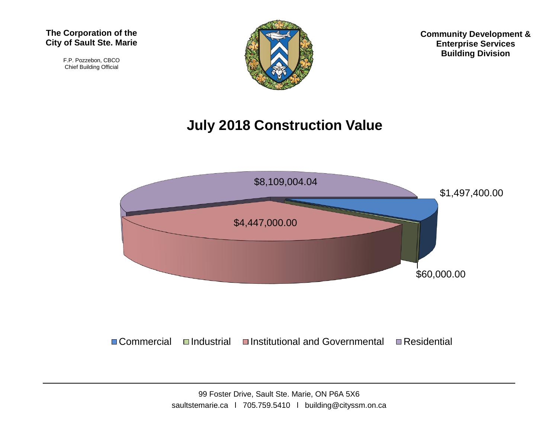F.P. Pozzebon, CBCO Chief Building Official



**Community Development & Enterprise Services Building Division**

## **July 2018 Construction Value**



 $\Box$  Commercial  $\Box$ Industrial  $\Box$ Institutional and Governmental  $\Box$  Residential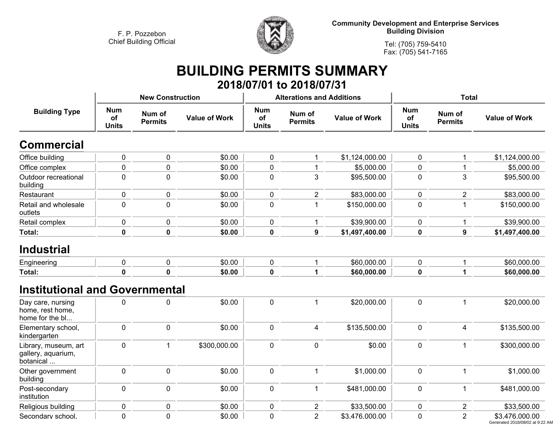

**Community Development and Enterprise Services Building Division**

**Tel: (705) 759-5410Fax: (705) 541-7165**

## **BUILDING PERMITS SUMMARY 2018/07/01 to 2018/07/31**

| <b>Building Type</b>                                     |                                  | <b>New Construction</b>  |                      |                                  | <b>Alterations and Additions</b> |                      | <b>Total</b>                     |                          |                                                   |  |
|----------------------------------------------------------|----------------------------------|--------------------------|----------------------|----------------------------------|----------------------------------|----------------------|----------------------------------|--------------------------|---------------------------------------------------|--|
|                                                          | <b>Num</b><br>of<br><b>Units</b> | Num of<br><b>Permits</b> | <b>Value of Work</b> | <b>Num</b><br>of<br><b>Units</b> | Num of<br><b>Permits</b>         | <b>Value of Work</b> | <b>Num</b><br>of<br><b>Units</b> | Num of<br><b>Permits</b> | <b>Value of Work</b>                              |  |
| <b>Commercial</b>                                        |                                  |                          |                      |                                  |                                  |                      |                                  |                          |                                                   |  |
| Office building                                          | $\pmb{0}$                        | $\mathbf 0$              | \$0.00               | $\pmb{0}$                        | 1                                | \$1,124,000.00       | $\mathbf 0$                      | 1                        | \$1,124,000.00                                    |  |
| Office complex                                           | $\pmb{0}$                        | $\pmb{0}$                | \$0.00               | $\pmb{0}$                        | $\mathbf{1}$                     | \$5,000.00           | 0                                | 1                        | \$5,000.00                                        |  |
| Outdoor recreational<br>building                         | $\mathbf 0$                      | $\mathbf 0$              | \$0.00               | $\mathbf 0$                      | 3                                | \$95,500.00          | 0                                | 3                        | \$95,500.00                                       |  |
| Restaurant                                               | $\pmb{0}$                        | $\pmb{0}$                | \$0.00               | $\mathbf 0$                      | $\overline{2}$                   | \$83,000.00          | $\mathbf 0$                      | $\overline{2}$           | \$83,000.00                                       |  |
| Retail and wholesale<br>outlets                          | $\mathbf 0$                      | $\mathbf 0$              | \$0.00               | $\mathbf 0$                      | $\mathbf 1$                      | \$150,000.00         | $\mathbf 0$                      | 1                        | \$150,000.00                                      |  |
| Retail complex                                           | 0                                | $\mathbf 0$              | \$0.00               | 0                                | 1                                | \$39,900.00          | 0                                | 1                        | \$39,900.00                                       |  |
| Total:                                                   | $\mathbf 0$                      | $\mathbf 0$              | \$0.00               | $\mathbf 0$                      | $\overline{9}$                   | \$1,497,400.00       | $\mathbf 0$                      | $\mathbf{9}$             | \$1,497,400.00                                    |  |
| <b>Industrial</b><br>Engineering                         | $\mathbf 0$                      | $\mathbf 0$              | \$0.00               | $\pmb{0}$                        | 1                                | \$60,000.00          | $\mathbf 0$                      | $\mathbf{1}$             | \$60,000.00                                       |  |
|                                                          |                                  |                          |                      |                                  |                                  |                      |                                  |                          |                                                   |  |
| <b>Total:</b>                                            | $\mathbf 0$                      | $\mathbf 0$              | \$0.00               | $\mathbf 0$                      | $\mathbf{1}$                     | \$60,000.00          | $\mathbf 0$                      | $\mathbf{1}$             | \$60,000.00                                       |  |
| <b>Institutional and Governmental</b>                    |                                  |                          |                      |                                  |                                  |                      |                                  |                          |                                                   |  |
| Day care, nursing<br>home, rest home,<br>home for the bl | $\mathbf 0$                      | $\mathbf 0$              | \$0.00               | $\pmb{0}$                        | 1                                | \$20,000.00          | $\mathbf 0$                      | $\mathbf{1}$             | \$20,000.00                                       |  |
| Elementary school,<br>kindergarten                       | $\pmb{0}$                        | $\mathbf 0$              | \$0.00               | $\pmb{0}$                        | $\overline{\mathbf{4}}$          | \$135,500.00         | $\pmb{0}$                        | $\overline{\mathbf{4}}$  | \$135,500.00                                      |  |
| Library, museum, art<br>gallery, aquarium,<br>botanical  | $\mathbf 0$                      | $\overline{1}$           | \$300,000.00         | $\pmb{0}$                        | $\mathbf 0$                      | \$0.00               | $\pmb{0}$                        | $\mathbf{1}$             | \$300,000.00                                      |  |
| Other government<br>building                             | $\mathbf 0$                      | $\mathbf 0$              | \$0.00               | $\mathbf 0$                      | $\mathbf{1}$                     | \$1,000.00           | $\mathbf 0$                      | $\mathbf{1}$             | \$1,000.00                                        |  |
| Post-secondary<br>institution                            | $\mathbf 0$                      | $\mathbf 0$              | \$0.00               | $\mathbf 0$                      | $\mathbf{1}$                     | \$481,000.00         | $\mathbf 0$                      | $\mathbf{1}$             | \$481,000.00                                      |  |
| Religious building                                       | $\pmb{0}$                        | $\pmb{0}$                | \$0.00               | $\mathbf 0$                      | $\overline{2}$                   | \$33,500.00          | $\pmb{0}$                        | $\boldsymbol{2}$         | \$33,500.00                                       |  |
| Secondary school,                                        | $\mathbf 0$                      | $\mathbf 0$              | \$0.00               | $\mathbf 0$                      | 2                                | \$3,476,000.00       | $\mathbf 0$                      | $\overline{2}$           | \$3,476,000.00<br>Generated 2018/08/02 at 9:22 AM |  |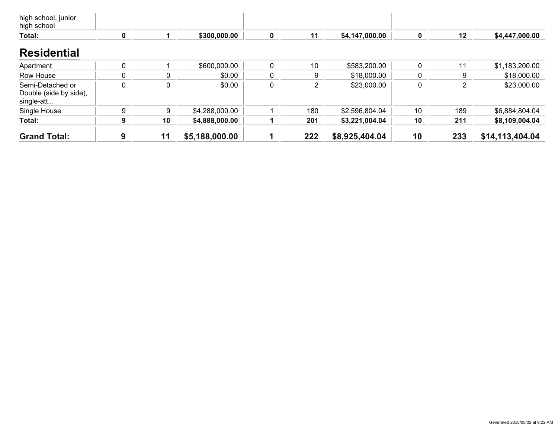| <b>Grand Total:</b>                                      | 9 | 11 | \$5,188,000.00 |   | 222 | \$8,925,404.04 | 10 | 233 | \$14,113,404.04 |
|----------------------------------------------------------|---|----|----------------|---|-----|----------------|----|-----|-----------------|
| Total:                                                   | 9 | 10 | \$4,888,000.00 |   | 201 | \$3,221,004.04 | 10 | 211 | \$8,109,004.04  |
| Single House                                             | 9 | 9  | \$4,288,000.00 |   | 180 | \$2,596,804.04 | 10 | 189 | \$6,884,804.04  |
| Semi-Detached or<br>Double (side by side),<br>single-att |   | 0  | \$0.00         | 0 | 2   | \$23,000.00    | 0  | 2   | \$23,000.00     |
| Row House                                                |   | 0  | \$0.00         |   | 9   | \$18,000.00    |    | 9   | \$18,000.00     |
| Apartment                                                |   |    | \$600,000.00   |   | 10  | \$583,200.00   |    | 11  | \$1,183,200.00  |
| <b>Residential</b>                                       |   |    |                |   |     |                |    |     |                 |
| Total:                                                   | 0 |    | \$300,000.00   | 0 | 11  | \$4,147,000.00 |    | 12  | \$4,447,000.00  |
| high school, junior<br>high school                       |   |    |                |   |     |                |    |     |                 |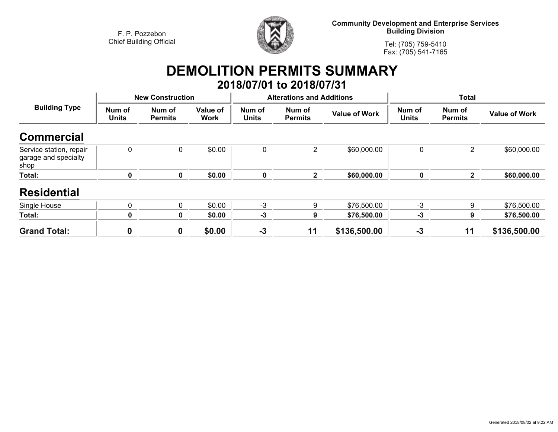

**Community Development and Enterprise Services Building Division**

**Tel: (705) 759-5410Fax: (705) 541-7165**

## **DEMOLITION PERMITS SUMMARY 2018/07/01 to 2018/07/31**

| <b>Building Type</b>                                    |                        | <b>New Construction</b>  |                         |                        | <b>Alterations and Additions</b> |                      | <b>Total</b>           |                          |                      |
|---------------------------------------------------------|------------------------|--------------------------|-------------------------|------------------------|----------------------------------|----------------------|------------------------|--------------------------|----------------------|
|                                                         | Num of<br><b>Units</b> | Num of<br><b>Permits</b> | Value of<br><b>Work</b> | Num of<br><b>Units</b> | Num of<br><b>Permits</b>         | <b>Value of Work</b> | Num of<br><b>Units</b> | Num of<br><b>Permits</b> | <b>Value of Work</b> |
| <b>Commercial</b>                                       |                        |                          |                         |                        |                                  |                      |                        |                          |                      |
| Service station, repair<br>garage and specialty<br>shop | $\mathbf{0}$           | 0                        | \$0.00                  | 0                      | 2                                | \$60,000.00          | 0                      | $\overline{2}$           | \$60,000.00          |
| Total:                                                  |                        | 0                        | \$0.00                  | 0                      | $\mathbf{2}$                     | \$60,000.00          | 0                      | $\mathbf{2}$             | \$60,000.00          |
| <b>Residential</b>                                      |                        |                          |                         |                        |                                  |                      |                        |                          |                      |
| Single House                                            |                        | 0                        | \$0.00                  | $-3$                   | 9                                | \$76,500.00          | $-3$                   | 9                        | \$76,500.00          |
| Total:                                                  | 0                      | 0                        | \$0.00                  | $-3$                   | 9                                | \$76,500.00          | $-3$                   | 9                        | \$76,500.00          |
| <b>Grand Total:</b>                                     | 0                      | 0                        | \$0.00                  | $-3$                   | 11                               | \$136,500.00         | $-3$                   | 11                       | \$136,500.00         |